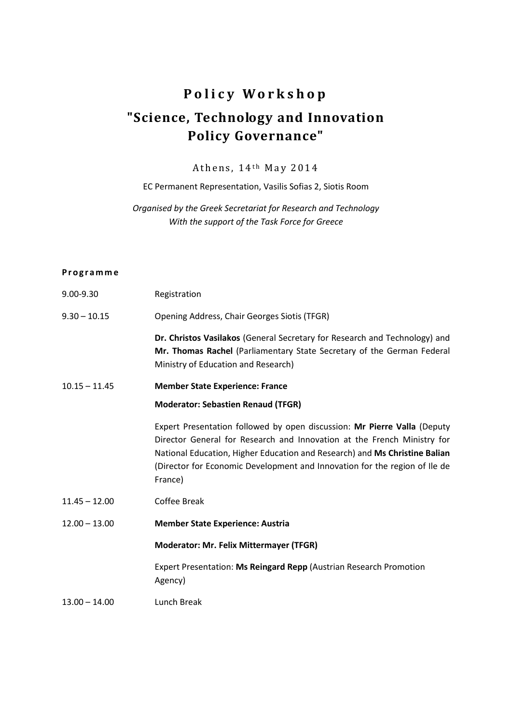## **P o l i c y W o r k s h o p "Science, Technology and Innovation Policy Governance"**

## Athens,  $14<sup>th</sup>$  May 2014

EC Permanent Representation, Vasilis Sofias 2, Siotis Room

*Organised by the Greek Secretariat for Research and Technology With the support of the Task Force for Greece*

## **P r o g r a m m e**

| 9.00-9.30       | Registration                                                                                                                                                                                                                                                                                                               |
|-----------------|----------------------------------------------------------------------------------------------------------------------------------------------------------------------------------------------------------------------------------------------------------------------------------------------------------------------------|
| $9.30 - 10.15$  | Opening Address, Chair Georges Siotis (TFGR)                                                                                                                                                                                                                                                                               |
|                 | Dr. Christos Vasilakos (General Secretary for Research and Technology) and<br>Mr. Thomas Rachel (Parliamentary State Secretary of the German Federal<br>Ministry of Education and Research)                                                                                                                                |
| $10.15 - 11.45$ | <b>Member State Experience: France</b>                                                                                                                                                                                                                                                                                     |
|                 | <b>Moderator: Sebastien Renaud (TFGR)</b>                                                                                                                                                                                                                                                                                  |
|                 | Expert Presentation followed by open discussion: Mr Pierre Valla (Deputy<br>Director General for Research and Innovation at the French Ministry for<br>National Education, Higher Education and Research) and Ms Christine Balian<br>(Director for Economic Development and Innovation for the region of Ile de<br>France) |
| $11.45 - 12.00$ | <b>Coffee Break</b>                                                                                                                                                                                                                                                                                                        |
| $12.00 - 13.00$ | <b>Member State Experience: Austria</b>                                                                                                                                                                                                                                                                                    |
|                 | <b>Moderator: Mr. Felix Mittermayer (TFGR)</b>                                                                                                                                                                                                                                                                             |
|                 | Expert Presentation: Ms Reingard Repp (Austrian Research Promotion<br>Agency)                                                                                                                                                                                                                                              |
| $13.00 - 14.00$ | Lunch Break                                                                                                                                                                                                                                                                                                                |